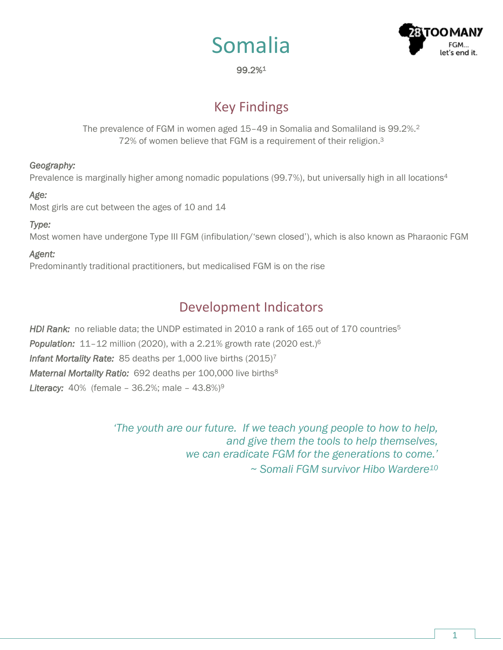



### 99.2%<sup>1</sup>

# Key Findings

The prevalence of FGM in women aged 15–49 in Somalia and Somaliland is 99.2%.<sup>2</sup> 72% of women believe that FGM is a requirement of their religion.<sup>3</sup>

### *Geography:*

Prevalence is marginally higher among nomadic populations (99.7%), but universally high in all locations<sup>4</sup>

#### *Age:*

Most girls are cut between the ages of 10 and 14

### *Type:*

Most women have undergone Type III FGM (infibulation/'sewn closed'), which is also known as Pharaonic FGM

### *Agent:*

Predominantly traditional practitioners, but medicalised FGM is on the rise

# Development Indicators

*HDI Rank:* no reliable data; the UNDP estimated in 2010 a rank of 165 out of 170 countries<sup>5</sup> *Population:* 11–12 million (2020), with a 2.21% growth rate (2020 est.)<sup>6</sup> *Infant Mortality Rate:* 85 deaths per 1,000 live births (2015)<sup>7</sup> *Maternal Mortality Ratio:* 692 deaths per 100,000 live births<sup>8</sup> *Literacy:* 40% (female – 36.2%; male – 43.8%)<sup>9</sup>

> *'The youth are our future. If we teach young people to how to help, and give them the tools to help themselves, we can eradicate FGM for the generations to come.' ~ Somali FGM survivor Hibo Wardere10*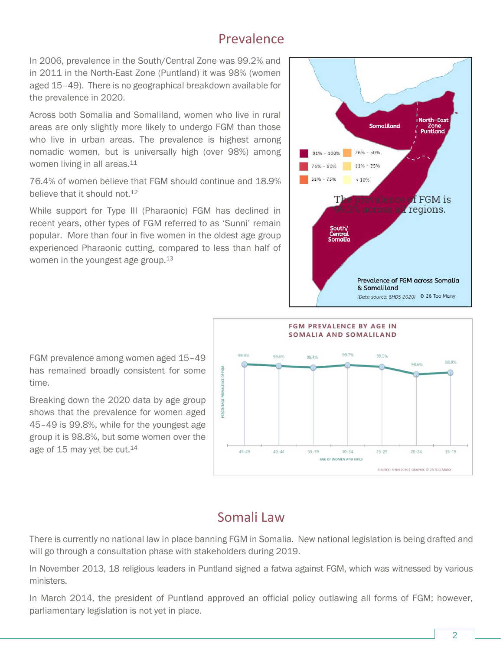### Prevalence

In 2006, prevalence in the South/Central Zone was 99.2% and in 2011 in the North-East Zone (Puntland) it was 98% (women aged 15–49). There is no geographical breakdown available for the prevalence in 2020.

Across both Somalia and Somaliland, women who live in rural areas are only slightly more likely to undergo FGM than those who live in urban areas. The prevalence is highest among nomadic women, but is universally high (over 98%) among women living in all areas.<sup>11</sup>

76.4% of women believe that FGM should continue and 18.9% believe that it should not.<sup>12</sup>

While support for Type III (Pharaonic) FGM has declined in recent years, other types of FGM referred to as 'Sunni' remain popular. More than four in five women in the oldest age group experienced Pharaonic cutting, compared to less than half of women in the youngest age group.<sup>13</sup>





### FGM prevalence among women aged 15–49 has remained broadly consistent for some time.

Breaking down the 2020 data by age group shows that the prevalence for women aged 45–49 is 99.8%, while for the youngest age group it is 98.8%, but some women over the age of 15 may yet be cut.<sup>14</sup>

# Somali Law

There is currently no national law in place banning FGM in Somalia. New national legislation is being drafted and will go through a consultation phase with stakeholders during 2019.

In November 2013, 18 religious leaders in Puntland signed a fatwa against FGM, which was witnessed by various ministers.

In March 2014, the president of Puntland approved an official policy outlawing all forms of FGM; however, parliamentary legislation is not yet in place.